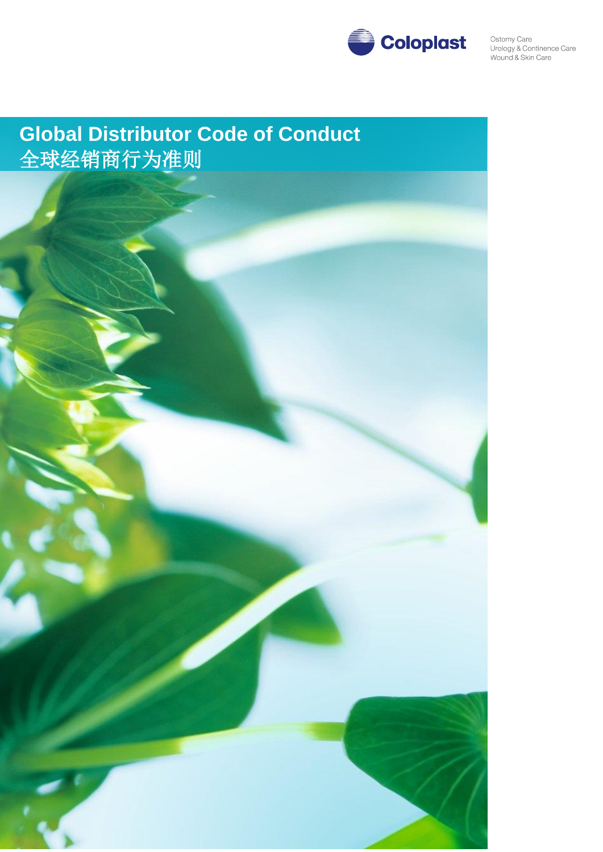

# **Global Distributor Code of Conduct** 全球经销商行为准则

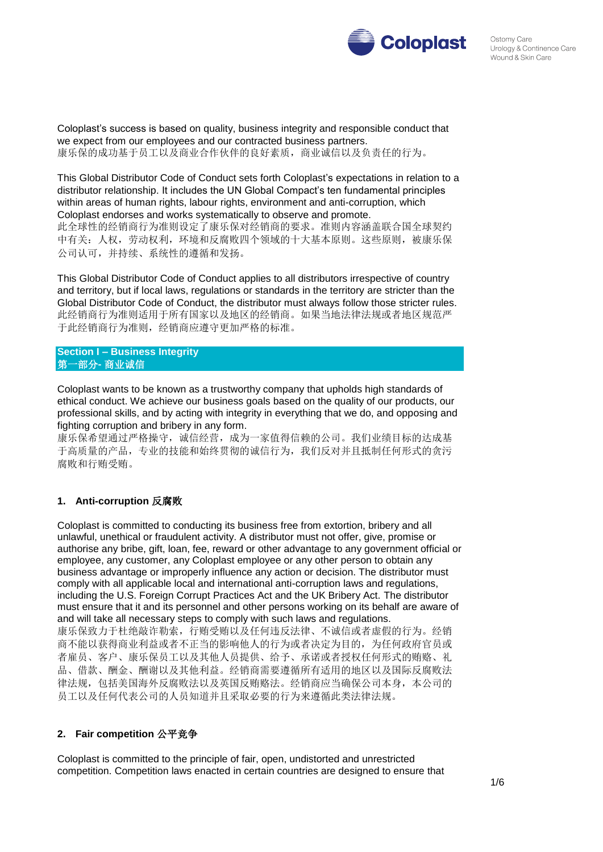

Coloplast's success is based on quality, business integrity and responsible conduct that we expect from our employees and our contracted business partners. 康乐保的成功基于员工以及商业合作伙伴的良好素质,商业诚信以及负责任的行为。

This Global Distributor Code of Conduct sets forth Coloplast's expectations in relation to a distributor relationship. It includes the UN Global Compact's ten fundamental principles within areas of human rights, labour rights, environment and anti-corruption, which Coloplast endorses and works systematically to observe and promote. 此全球性的经销商行为准则设定了康乐保对经销商的要求。准则内容涵盖联合国全球契约 中有关:人权,劳动权利,环境和反腐败四个领域的十大基本原则。这些原则,被康乐保

公司认可,并持续、系统性的遵循和发扬。

This Global Distributor Code of Conduct applies to all distributors irrespective of country and territory, but if local laws, regulations or standards in the territory are stricter than the Global Distributor Code of Conduct, the distributor must always follow those stricter rules. 此经销商行为准则适用于所有国家以及地区的经销商。如果当地法律法规或者地区规范严 于此经销商行为准则,经销商应遵守更加严格的标准。

**Section I – Business Integrity** 第一部分**-** 商业诚信

Coloplast wants to be known as a trustworthy company that upholds high standards of ethical conduct. We achieve our business goals based on the quality of our products, our professional skills, and by acting with integrity in everything that we do, and opposing and fighting corruption and bribery in any form.

康乐保希望通过严格操守,诚信经营,成为一家值得信赖的公司。我们业绩目标的达成基 于高质量的产品,专业的技能和始终贯彻的诚信行为,我们反对并且抵制任何形式的贪污 腐败和行贿受贿。

## **1. Anti-corruption** 反腐败

Coloplast is committed to conducting its business free from extortion, bribery and all unlawful, unethical or fraudulent activity. A distributor must not offer, give, promise or authorise any bribe, gift, loan, fee, reward or other advantage to any government official or employee, any customer, any Coloplast employee or any other person to obtain any business advantage or improperly influence any action or decision. The distributor must comply with all applicable local and international anti-corruption laws and regulations, including the U.S. Foreign Corrupt Practices Act and the UK Bribery Act. The distributor must ensure that it and its personnel and other persons working on its behalf are aware of and will take all necessary steps to comply with such laws and regulations. 康乐保致力于杜绝敲诈勒索,行贿受贿以及任何违反法律、不诚信或者虚假的行为。经销 商不能以获得商业利益或者不正当的影响他人的行为或者决定为目的,为任何政府官员或 者雇员、客户、康乐保员工以及其他人员提供、给予、承诺或者授权任何形式的贿赂、礼 品、借款、酬金、酬谢以及其他利益。经销商需要遵循所有适用的地区以及国际反腐败法 律法规,包括美国海外反腐败法以及英国反贿赂法。经销商应当确保公司本身,本公司的 员工以及任何代表公司的人员知道并且采取必要的行为来遵循此类法律法规。

# **2. Fair competition** 公平竞争

Coloplast is committed to the principle of fair, open, undistorted and unrestricted competition. Competition laws enacted in certain countries are designed to ensure that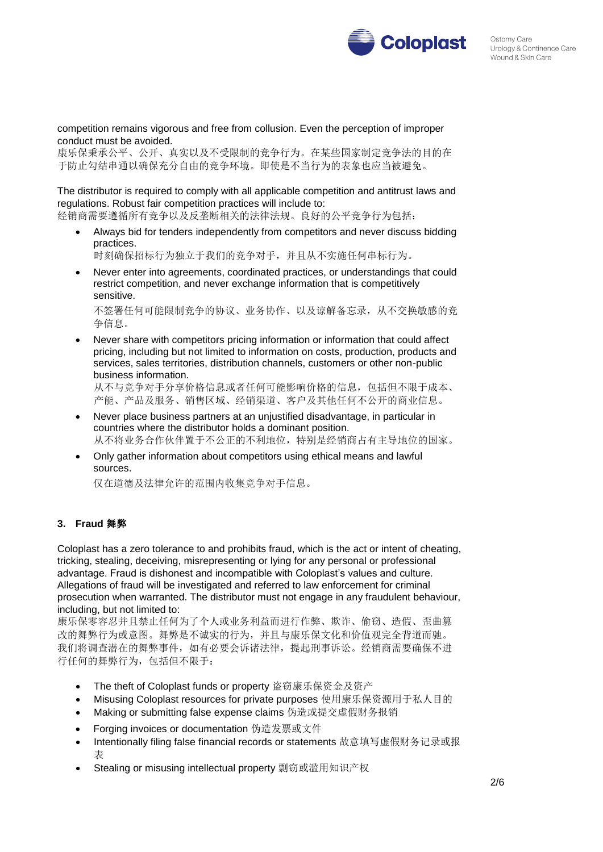

competition remains vigorous and free from collusion. Even the perception of improper conduct must be avoided.

康乐保秉承公平、公开、真实以及不受限制的竞争行为。在某些国家制定竞争法的目的在 于防止勾结串通以确保充分自由的竞争环境。即使是不当行为的表象也应当被避免。

The distributor is required to comply with all applicable competition and antitrust laws and regulations. Robust fair competition practices will include to:

经销商需要遵循所有竞争以及反垄断相关的法律法规。良好的公平竞争行为包括:

 Always bid for tenders independently from competitors and never discuss bidding practices.

时刻确保招标行为独立于我们的竞争对手,并且从不实施任何串标行为。

 Never enter into agreements, coordinated practices, or understandings that could restrict competition, and never exchange information that is competitively sensitive.

不签署任何可能限制竞争的协议、业务协作、以及谅解备忘录,从不交换敏感的竞 争信息。

 Never share with competitors pricing information or information that could affect pricing, including but not limited to information on costs, production, products and services, sales territories, distribution channels, customers or other non-public business information.

从不与竞争对手分享价格信息或者任何可能影响价格的信息,包括但不限于成本、 产能、产品及服务、销售区域、经销渠道、客户及其他任何不公开的商业信息。

- Never place business partners at an unjustified disadvantage, in particular in countries where the distributor holds a dominant position. 从不将业务合作伙伴置于不公正的不利地位,特别是经销商占有主导地位的国家。
- Only gather information about competitors using ethical means and lawful sources.

仅在道德及法律允许的范围内收集竞争对手信息。

# **3. Fraud** 舞弊

Coloplast has a zero tolerance to and prohibits fraud, which is the act or intent of cheating, tricking, stealing, deceiving, misrepresenting or lying for any personal or professional advantage. Fraud is dishonest and incompatible with Coloplast's values and culture. Allegations of fraud will be investigated and referred to law enforcement for criminal prosecution when warranted. The distributor must not engage in any fraudulent behaviour, including, but not limited to:

康乐保零容忍并且禁止任何为了个人或业务利益而进行作弊、欺诈、偷窃、造假、歪曲篡 改的舞弊行为或意图。舞弊是不诚实的行为,并且与康乐保文化和价值观完全背道而驰。 我们将调查潜在的舞弊事件,如有必要会诉诸法律,提起刑事诉讼。经销商需要确保不进 行任何的舞弊行为,包括但不限于:

- The theft of Coloplast funds or property 盗窃康乐保资金及资产
- Misusing Coloplast resources for private purposes 使用康乐保资源用于私人目的
- Making or submitting false expense claims 伪造或提交虚假财务报销
- Forging invoices or documentation 伪造发票或文件
- Intentionally filing false financial records or statements 故意填写虚假财务记录或报 表
- Stealing or misusing intellectual property 剽窃或滥用知识产权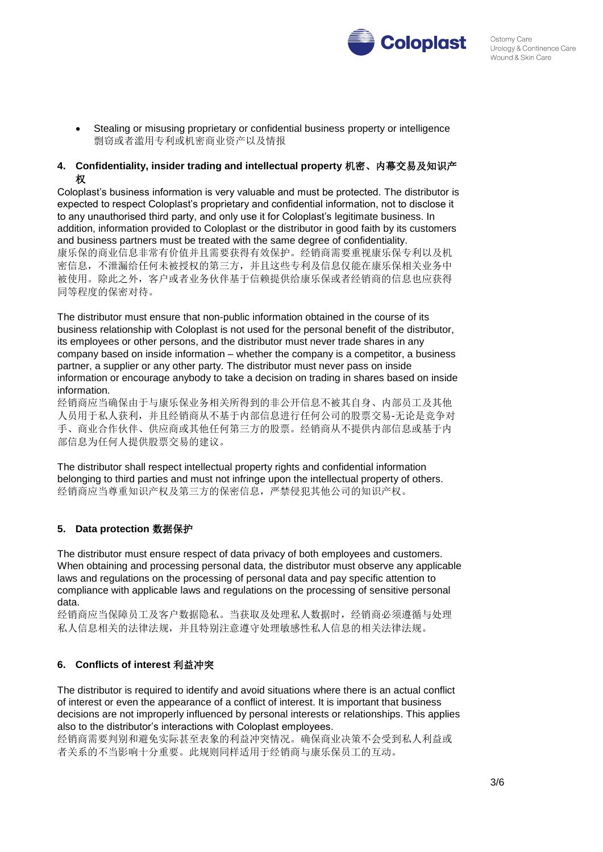

 Stealing or misusing proprietary or confidential business property or intelligence 剽窃或者滥用专利或机密商业资产以及情报

## **4. Confidentiality, insider trading and intellectual property** 机密、内幕交易及知识产 权

Coloplast's business information is very valuable and must be protected. The distributor is expected to respect Coloplast's proprietary and confidential information, not to disclose it to any unauthorised third party, and only use it for Coloplast's legitimate business. In addition, information provided to Coloplast or the distributor in good faith by its customers and business partners must be treated with the same degree of confidentiality. 康乐保的商业信息非常有价值并且需要获得有效保护。经销商需要重视康乐保专利以及机 密信息,不泄漏给任何未被授权的第三方,并且这些专利及信息仅能在康乐保相关业务中 被使用。除此之外,客户或者业务伙伴基于信赖提供给康乐保或者经销商的信息也应获得 同等程度的保密对待。

The distributor must ensure that non-public information obtained in the course of its business relationship with Coloplast is not used for the personal benefit of the distributor, its employees or other persons, and the distributor must never trade shares in any company based on inside information – whether the company is a competitor, a business partner, a supplier or any other party. The distributor must never pass on inside information or encourage anybody to take a decision on trading in shares based on inside information.

经销商应当确保由于与康乐保业务相关所得到的非公开信息不被其自身、内部员工及其他 人员用于私人获利,并且经销商从不基于内部信息进行任何公司的股票交易-无论是竞争对 手、商业合作伙伴、供应商或其他任何第三方的股票。经销商从不提供内部信息或基于内 部信息为任何人提供股票交易的建议。

The distributor shall respect intellectual property rights and confidential information belonging to third parties and must not infringe upon the intellectual property of others. 经销商应当尊重知识产权及第三方的保密信息,严禁侵犯其他公司的知识产权。

## **5. Data protection** 数据保护

The distributor must ensure respect of data privacy of both employees and customers. When obtaining and processing personal data, the distributor must observe any applicable laws and regulations on the processing of personal data and pay specific attention to compliance with applicable laws and regulations on the processing of sensitive personal data.

经销商应当保障员工及客户数据隐私。当获取及处理私人数据时,经销商必须遵循与处理 私人信息相关的法律法规,并且特别注意遵守处理敏感性私人信息的相关法律法规。

# **6. Conflicts of interest** 利益冲突

The distributor is required to identify and avoid situations where there is an actual conflict of interest or even the appearance of a conflict of interest. It is important that business decisions are not improperly influenced by personal interests or relationships. This applies also to the distributor's interactions with Coloplast employees.

经销商需要判别和避免实际甚至表象的利益冲突情况。确保商业决策不会受到私人利益或 者关系的不当影响十分重要。此规则同样适用于经销商与康乐保员工的互动。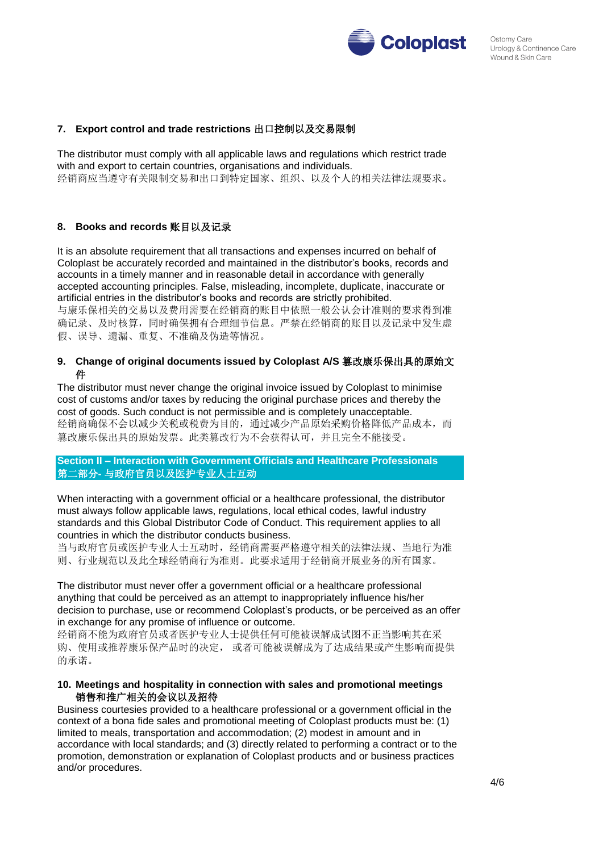

## **7. Export control and trade restrictions** 出口控制以及交易限制

The distributor must comply with all applicable laws and regulations which restrict trade with and export to certain countries, organisations and individuals. 经销商应当遵守有关限制交易和出口到特定国家、组织、以及个人的相关法律法规要求。

#### **8. Books and records** 账目以及记录

It is an absolute requirement that all transactions and expenses incurred on behalf of Coloplast be accurately recorded and maintained in the distributor's books, records and accounts in a timely manner and in reasonable detail in accordance with generally accepted accounting principles. False, misleading, incomplete, duplicate, inaccurate or artificial entries in the distributor's books and records are strictly prohibited. 与康乐保相关的交易以及费用需要在经销商的账目中依照一般公认会计准则的要求得到准 确记录、及时核算,同时确保拥有合理细节信息。严禁在经销商的账目以及记录中发生虚 假、误导、遗漏、重复、不准确及伪造等情况。

## **9. Change of original documents issued by Coloplast A/S** 篡改康乐保出具的原始文 件

The distributor must never change the original invoice issued by Coloplast to minimise cost of customs and/or taxes by reducing the original purchase prices and thereby the cost of goods. Such conduct is not permissible and is completely unacceptable. 经销商确保不会以减少关税或税费为目的,通过减少产品原始采购价格降低产品成本,而 篡改康乐保出具的原始发票。此类篡改行为不会获得认可,并且完全不能接受。

**Section II – Interaction with Government Officials and Healthcare Professionals** 第二部分**-** 与政府官员以及医护专业人士互动

When interacting with a government official or a healthcare professional, the distributor must always follow applicable laws, regulations, local ethical codes, lawful industry standards and this Global Distributor Code of Conduct. This requirement applies to all countries in which the distributor conducts business.

当与政府官员或医护专业人士互动时,经销商需要严格遵守相关的法律法规、当地行为准 则、行业规范以及此全球经销商行为准则。此要求适用于经销商开展业务的所有国家。

The distributor must never offer a government official or a healthcare professional anything that could be perceived as an attempt to inappropriately influence his/her decision to purchase, use or recommend Coloplast's products, or be perceived as an offer in exchange for any promise of influence or outcome.

经销商不能为政府官员或者医护专业人士提供任何可能被误解成试图不正当影响其在采 购、使用或推荐康乐保产品时的决定, 或者可能被误解成为了达成结果或产生影响而提供 的承诺。

#### **10. Meetings and hospitality in connection with sales and promotional meetings** 销售和推广相关的会议以及招待

Business courtesies provided to a healthcare professional or a government official in the context of a bona fide sales and promotional meeting of Coloplast products must be: (1) limited to meals, transportation and accommodation; (2) modest in amount and in accordance with local standards; and (3) directly related to performing a contract or to the promotion, demonstration or explanation of Coloplast products and or business practices and/or procedures.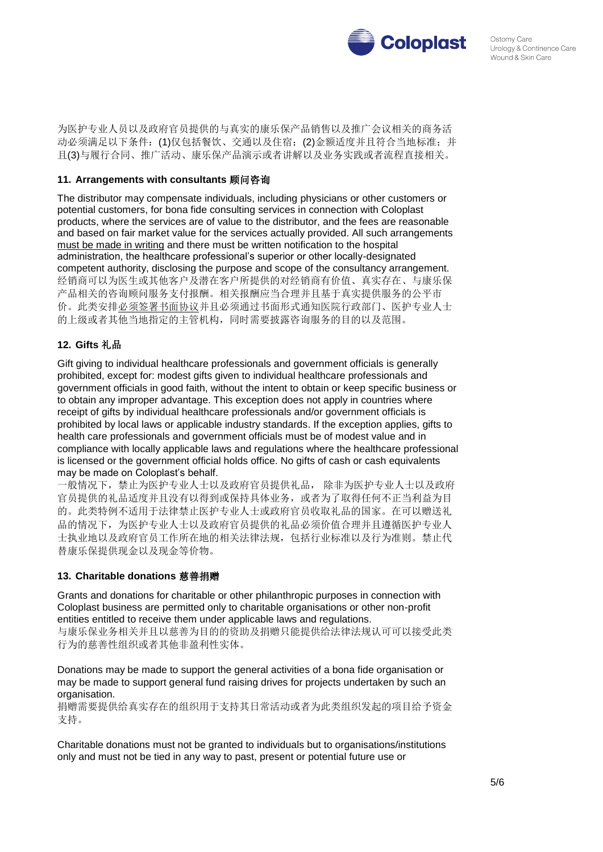

为医护专业人员以及政府官员提供的与真实的康乐保产品销售以及推广会议相关的商务活 动必须满足以下条件:(1)仅包括餐饮、交通以及住宿;(2)金额适度并且符合当地标准;并 且(3)与履行合同、推广活动、康乐保产品演示或者讲解以及业务实践或者流程直接相关。

## **11. Arrangements with consultants** 顾问咨询

The distributor may compensate individuals, including physicians or other customers or potential customers, for bona fide consulting services in connection with Coloplast products, where the services are of value to the distributor, and the fees are reasonable and based on fair market value for the services actually provided. All such arrangements must be made in writing and there must be written notification to the hospital administration, the healthcare professional's superior or other locally-designated competent authority, disclosing the purpose and scope of the consultancy arrangement. 经销商可以为医生或其他客户及潜在客户所提供的对经销商有价值、真实存在、与康乐保 产品相关的咨询顾问服务支付报酬。相关报酬应当合理并且基于真实提供服务的公平市 价。此类安排必须签署书面协议并且必须通过书面形式通知医院行政部门、医护专业人士 的上级或者其他当地指定的主管机构,同时需要披露咨询服务的目的以及范围。

## **12. Gifts** 礼品

Gift giving to individual healthcare professionals and government officials is generally prohibited, except for: modest gifts given to individual healthcare professionals and government officials in good faith, without the intent to obtain or keep specific business or to obtain any improper advantage. This exception does not apply in countries where receipt of gifts by individual healthcare professionals and/or government officials is prohibited by local laws or applicable industry standards. If the exception applies, gifts to health care professionals and government officials must be of modest value and in compliance with locally applicable laws and regulations where the healthcare professional is licensed or the government official holds office. No gifts of cash or cash equivalents may be made on Coloplast's behalf.

一般情况下,禁止为医护专业人士以及政府官员提供礼品, 除非为医护专业人士以及政府 官员提供的礼品适度并且没有以得到或保持具体业务,或者为了取得任何不正当利益为目 的。此类特例不适用于法律禁止医护专业人士或政府官员收取礼品的国家。在可以赠送礼 品的情况下,为医护专业人士以及政府官员提供的礼品必须价值合理并且遵循医护专业人 士执业地以及政府官员工作所在地的相关法律法规,包括行业标准以及行为准则。禁止代 替康乐保提供现金以及现金等价物。

## **13. Charitable donations** 慈善捐赠

Grants and donations for charitable or other philanthropic purposes in connection with Coloplast business are permitted only to charitable organisations or other non-profit entities entitled to receive them under applicable laws and regulations. 与康乐保业务相关并且以慈善为目的的资助及捐赠只能提供给法律法规认可可以接受此类 行为的慈善性组织或者其他非盈利性实体。

Donations may be made to support the general activities of a bona fide organisation or may be made to support general fund raising drives for projects undertaken by such an organisation.

捐赠需要提供给真实存在的组织用于支持其日常活动或者为此类组织发起的项目给予资金 支持。

Charitable donations must not be granted to individuals but to organisations/institutions only and must not be tied in any way to past, present or potential future use or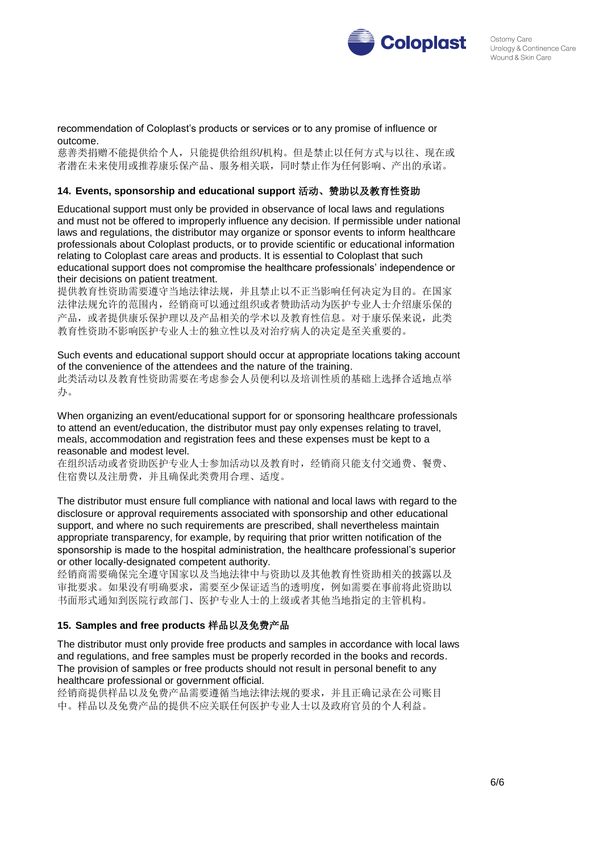

#### recommendation of Coloplast's products or services or to any promise of influence or outcome.

慈善类捐赠不能提供给个人,只能提供给组织/机构。但是禁止以任何方式与以往、现在或 者潜在未来使用或推荐康乐保产品、服务相关联,同时禁止作为任何影响、产出的承诺。

## **14. Events, sponsorship and educational support** 活动、赞助以及教育性资助

Educational support must only be provided in observance of local laws and regulations and must not be offered to improperly influence any decision. If permissible under national laws and regulations, the distributor may organize or sponsor events to inform healthcare professionals about Coloplast products, or to provide scientific or educational information relating to Coloplast care areas and products. It is essential to Coloplast that such educational support does not compromise the healthcare professionals' independence or their decisions on patient treatment.

提供教育性资助需要遵守当地法律法规,并且禁止以不正当影响任何决定为目的。在国家 法律法规允许的范围内,经销商可以通过组织或者赞助活动为医护专业人士介绍康乐保的 产品, 或者提供康乐保护理以及产品相关的学术以及教育性信息。对于康乐保来说, 此类 教育性资助不影响医护专业人士的独立性以及对治疗病人的决定是至关重要的。

Such events and educational support should occur at appropriate locations taking account of the convenience of the attendees and the nature of the training. 此类活动以及教育性资助需要在考虑参会人员便利以及培训性质的基础上选择合适地点举 办。

When organizing an event/educational support for or sponsoring healthcare professionals to attend an event/education, the distributor must pay only expenses relating to travel, meals, accommodation and registration fees and these expenses must be kept to a reasonable and modest level.

在组织活动或者资助医护专业人士参加活动以及教育时,经销商只能支付交通费、餐费、 住宿费以及注册费,并且确保此类费用合理、适度。

The distributor must ensure full compliance with national and local laws with regard to the disclosure or approval requirements associated with sponsorship and other educational support, and where no such requirements are prescribed, shall nevertheless maintain appropriate transparency, for example, by requiring that prior written notification of the sponsorship is made to the hospital administration, the healthcare professional's superior or other locally-designated competent authority.

经销商需要确保完全遵守国家以及当地法律中与资助以及其他教育性资助相关的披露以及 审批要求。如果没有明确要求,需要至少保证适当的透明度,例如需要在事前将此资助以 书面形式通知到医院行政部门、医护专业人士的上级或者其他当地指定的主管机构。

## **15. Samples and free products** 样品以及免费产品

The distributor must only provide free products and samples in accordance with local laws and regulations, and free samples must be properly recorded in the books and records. The provision of samples or free products should not result in personal benefit to any healthcare professional or government official.

经销商提供样品以及免费产品需要遵循当地法律法规的要求,并且正确记录在公司账目 中。样品以及免费产品的提供不应关联任何医护专业人士以及政府官员的个人利益。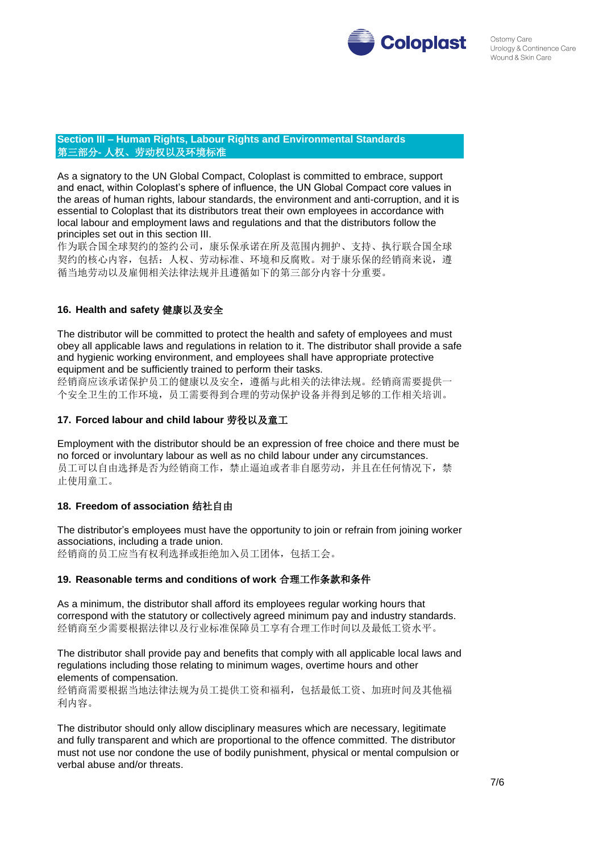

#### **Section III – Human Rights, Labour Rights and Environmental Standards**  第三部分**-** 人权、劳动权以及环境标准

As a signatory to the UN Global Compact, Coloplast is committed to embrace, support and enact, within Coloplast's sphere of influence, the UN Global Compact core values in the areas of human rights, labour standards, the environment and anti-corruption, and it is essential to Coloplast that its distributors treat their own employees in accordance with local labour and employment laws and regulations and that the distributors follow the principles set out in this section III.

作为联合国全球契约的签约公司,康乐保承诺在所及范围内拥护、支持、执行联合国全球 契约的核心内容,包括: 人权、劳动标准、环境和反腐败。对于康乐保的经销商来说,遵 循当地劳动以及雇佣相关法律法规并且遵循如下的第三部分内容十分重要。

# **16. Health and safety** 健康以及安全

The distributor will be committed to protect the health and safety of employees and must obey all applicable laws and regulations in relation to it. The distributor shall provide a safe and hygienic working environment, and employees shall have appropriate protective equipment and be sufficiently trained to perform their tasks.

经销商应该承诺保护员工的健康以及安全,遵循与此相关的法律法规。经销商需要提供一 个安全卫生的工作环境,员工需要得到合理的劳动保护设备并得到足够的工作相关培训。

## **17. Forced labour and child labour** 劳役以及童工

Employment with the distributor should be an expression of free choice and there must be no forced or involuntary labour as well as no child labour under any circumstances. 员工可以自由选择是否为经销商工作,禁止逼迫或者非自愿劳动,并且在任何情况下,禁 止使用童工。

# **18. Freedom of association** 结社自由

The distributor's employees must have the opportunity to join or refrain from joining worker associations, including a trade union. 经销商的员工应当有权利选择或拒绝加入员工团体,包括工会。

## **19. Reasonable terms and conditions of work** 合理工作条款和条件

As a minimum, the distributor shall afford its employees regular working hours that correspond with the statutory or collectively agreed minimum pay and industry standards. 经销商至少需要根据法律以及行业标准保障员工享有合理工作时间以及最低工资水平。

The distributor shall provide pay and benefits that comply with all applicable local laws and regulations including those relating to minimum wages, overtime hours and other elements of compensation.

经销商需要根据当地法律法规为员工提供工资和福利,包括最低工资、加班时间及其他福 利内容。

The distributor should only allow disciplinary measures which are necessary, legitimate and fully transparent and which are proportional to the offence committed. The distributor must not use nor condone the use of bodily punishment, physical or mental compulsion or verbal abuse and/or threats.